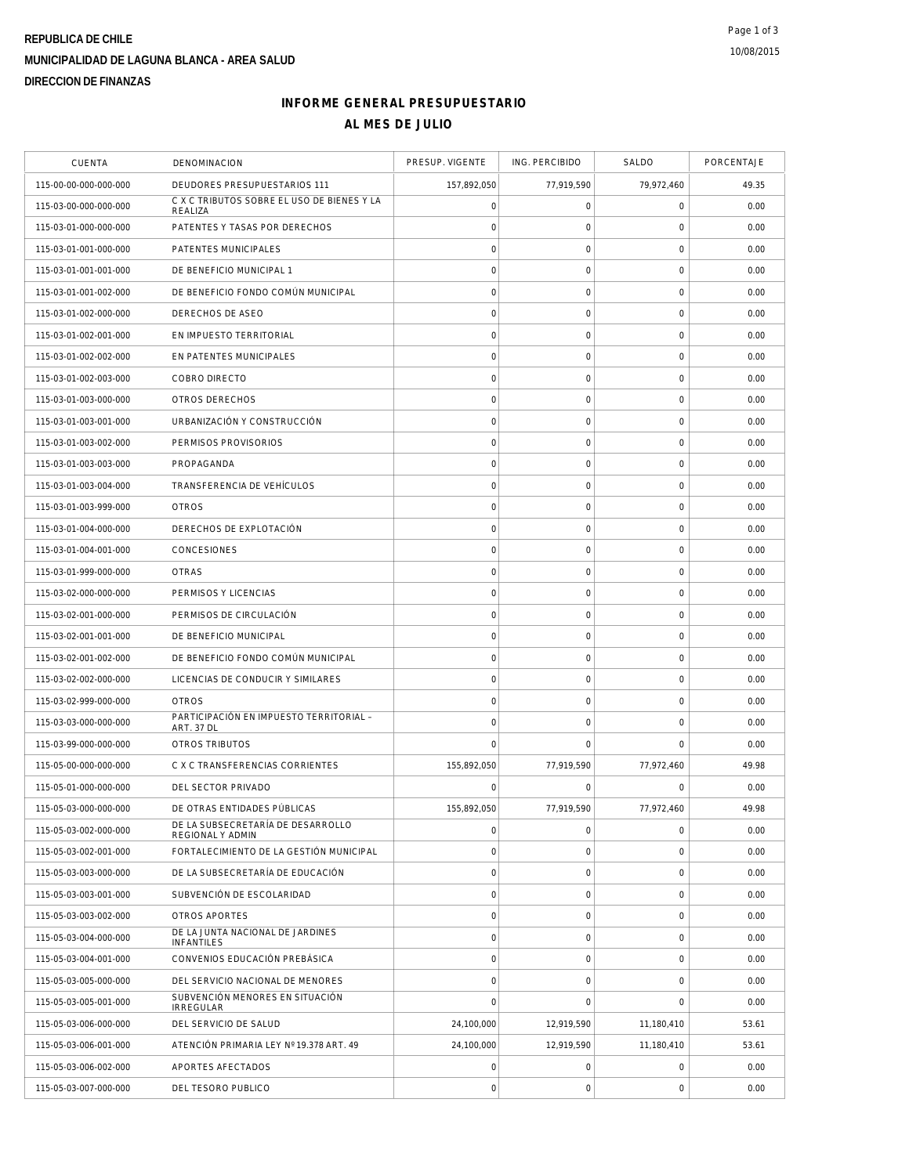# **REPUBLICA DE CHILE MUNICIPALIDAD DE LAGUNA BLANCA - AREA SALUD DIRECCION DE FINANZAS**

### **INFORME GENERAL PRESUPUESTARIO AL MES DE JULIO**

| <b>CUENTA</b>         | <b>DENOMINACION</b>                                   | PRESUP. VIGENTE     | ING. PERCIBIDO      | SALDO               | PORCENTAJE |
|-----------------------|-------------------------------------------------------|---------------------|---------------------|---------------------|------------|
| 115-00-00-000-000-000 | DEUDORES PRESUPUESTARIOS 111                          | 157,892,050         | 77,919,590          | 79,972,460          | 49.35      |
| 115-03-00-000-000-000 | C X C TRIBUTOS SOBRE EL USO DE BIENES Y LA<br>REALIZA | $\mathsf{O}\xspace$ | $\mathsf O$         | $\mathbf 0$         | 0.00       |
| 115-03-01-000-000-000 | PATENTES Y TASAS POR DERECHOS                         | $\mathsf{O}\xspace$ | 0                   | 0                   | 0.00       |
| 115-03-01-001-000-000 | PATENTES MUNICIPALES                                  | $\mathbf 0$         | $\mathsf{O}\xspace$ | $\mathbf 0$         | 0.00       |
| 115-03-01-001-001-000 | DE BENEFICIO MUNICIPAL 1                              | $\mathbf 0$         | $\mathsf O$         | $\mathbf 0$         | 0.00       |
| 115-03-01-001-002-000 | DE BENEFICIO FONDO COMÚN MUNICIPAL                    | $\mathsf{O}\xspace$ | $\mathsf{O}\xspace$ | $\mathbf 0$         | 0.00       |
| 115-03-01-002-000-000 | DERECHOS DE ASEO                                      | $\circ$             | $\mathsf{O}\xspace$ | $\mathbf 0$         | 0.00       |
| 115-03-01-002-001-000 | EN IMPUESTO TERRITORIAL                               | $\mathsf{O}\xspace$ | $\mathsf{O}\xspace$ | $\mathbf 0$         | 0.00       |
| 115-03-01-002-002-000 | EN PATENTES MUNICIPALES                               | $\mathbf 0$         | $\mathsf{O}\xspace$ | $\mathsf{O}\xspace$ | 0.00       |
| 115-03-01-002-003-000 | <b>COBRO DIRECTO</b>                                  | $\circ$             | $\mathsf O$         | 0                   | 0.00       |
| 115-03-01-003-000-000 | OTROS DERECHOS                                        | $\mathsf{O}\xspace$ | $\mathsf O$         | $\mathbf 0$         | 0.00       |
| 115-03-01-003-001-000 | URBANIZACIÓN Y CONSTRUCCIÓN                           | $\mathbf 0$         | $\mathsf{O}\xspace$ | $\mathbf 0$         | 0.00       |
| 115-03-01-003-002-000 | PERMISOS PROVISORIOS                                  | $\circ$             | $\mathbf 0$         | $\mathbf 0$         | 0.00       |
| 115-03-01-003-003-000 | PROPAGANDA                                            | $\circ$             | $\mathsf{O}\xspace$ | $\mathbf 0$         | 0.00       |
| 115-03-01-003-004-000 | TRANSFERENCIA DE VEHÍCULOS                            | $\mathsf{O}\xspace$ | $\mathsf{O}\xspace$ | 0                   | 0.00       |
| 115-03-01-003-999-000 | <b>OTROS</b>                                          | $\mathbf 0$         | $\mathsf{O}\xspace$ | $\mathsf{O}\xspace$ | 0.00       |
| 115-03-01-004-000-000 | DERECHOS DE EXPLOTACIÓN                               | $\circ$             | $\mathsf O$         | $\mathbf 0$         | 0.00       |
| 115-03-01-004-001-000 | CONCESIONES                                           | $\mathbf 0$         | $\mathbf 0$         | $\mathbf 0$         | 0.00       |
| 115-03-01-999-000-000 | <b>OTRAS</b>                                          | $\circ$             | $\mathsf{O}\xspace$ | $\mathbf 0$         | 0.00       |
| 115-03-02-000-000-000 | PERMISOS Y LICENCIAS                                  | $\mathsf{O}\xspace$ | $\mathsf{O}\xspace$ | $\mathbf 0$         | 0.00       |
| 115-03-02-001-000-000 | PERMISOS DE CIRCULACIÓN                               | $\circ$             | $\mathsf O$         | $\mathsf{O}\xspace$ | 0.00       |
| 115-03-02-001-001-000 | DE BENEFICIO MUNICIPAL                                | $\mathbf 0$         | $\mathsf O$         | 0                   | 0.00       |
| 115-03-02-001-002-000 | DE BENEFICIO FONDO COMÚN MUNICIPAL                    | $\mathsf{O}\xspace$ | $\mathsf{O}\xspace$ | $\mathbf 0$         | 0.00       |
| 115-03-02-002-000-000 | LICENCIAS DE CONDUCIR Y SIMILARES                     | $\mathbf 0$         | $\mathsf{O}\xspace$ | $\mathbf 0$         | 0.00       |
| 115-03-02-999-000-000 | <b>OTROS</b>                                          | $\mathsf{O}\xspace$ | $\mathbf 0$         | $\mathbf 0$         | 0.00       |
| 115-03-03-000-000-000 | PARTICIPACIÓN EN IMPUESTO TERRITORIAL -<br>ART. 37 DL | $\circ$             | $\mathsf{O}\xspace$ | $\mathbf 0$         | 0.00       |
| 115-03-99-000-000-000 | <b>OTROS TRIBUTOS</b>                                 | $\mathbf 0$         | $\mathbf 0$         | $\mathbf 0$         | 0.00       |
| 115-05-00-000-000-000 | C X C TRANSFERENCIAS CORRIENTES                       | 155,892,050         | 77,919,590          | 77,972,460          | 49.98      |
| 115-05-01-000-000-000 | DEL SECTOR PRIVADO                                    | $\Omega$            | 0                   | $\Omega$            | 0.00       |
| 115-05-03-000-000-000 | DE OTRAS ENTIDADES PÚBLICAS                           | 155,892,050         | 77,919,590          | 77,972,460          | 49.98      |
| 115-05-03-002-000-000 | DE LA SUBSECRETARÍA DE DESARROLLO<br>REGIONAL Y ADMIN | $\mathbf 0$         | $\mathsf{O}\xspace$ | $\mathbf 0$         | 0.00       |
| 115-05-03-002-001-000 | FORTALECIMIENTO DE LA GESTIÓN MUNICIPAL               | $\mathsf{O}\xspace$ | $\mathsf O$         | $\mathbf 0$         | 0.00       |
| 115-05-03-003-000-000 | DE LA SUBSECRETARÍA DE EDUCACIÓN                      | $\mathsf{O}\xspace$ | $\mathsf{O}\xspace$ | $\mathbf 0$         | 0.00       |
| 115-05-03-003-001-000 | SUBVENCIÓN DE ESCOLARIDAD                             | $\circ$             | $\mathsf{O}\xspace$ | $\mathbf 0$         | 0.00       |
| 115-05-03-003-002-000 | OTROS APORTES                                         | $\mathsf{O}\xspace$ | $\mathsf{O}\xspace$ | $\mathbf 0$         | 0.00       |
| 115-05-03-004-000-000 | DE LA JUNTA NACIONAL DE JARDINES<br>INFANTILES        | $\mathbf 0$         | $\mathbf 0$         | $\mathbf 0$         | 0.00       |
| 115-05-03-004-001-000 | CONVENIOS EDUCACIÓN PREBÁSICA                         | $\mathsf{O}\xspace$ | $\mathbf 0$         | $\mathbf 0$         | 0.00       |
| 115-05-03-005-000-000 | DEL SERVICIO NACIONAL DE MENORES                      | $\circ$             | $\mathsf{O}\xspace$ | $\mathbf 0$         | 0.00       |
| 115-05-03-005-001-000 | SUBVENCIÓN MENORES EN SITUACIÓN<br><b>IRREGULAR</b>   | $\mathbf 0$         | $\mathbf 0$         | $\mathbf 0$         | 0.00       |
| 115-05-03-006-000-000 | DEL SERVICIO DE SALUD                                 | 24,100,000          | 12,919,590          | 11,180,410          | 53.61      |
| 115-05-03-006-001-000 | ATENCIÓN PRIMARIA LEY Nº 19.378 ART. 49               | 24,100,000          | 12,919,590          | 11,180,410          | 53.61      |
| 115-05-03-006-002-000 | APORTES AFECTADOS                                     | 0                   | 0                   | $\mathbf 0$         | 0.00       |
| 115-05-03-007-000-000 | DEL TESORO PUBLICO                                    | $\circ$             | $\mathsf{O}\xspace$ | $\mathbf 0$         | 0.00       |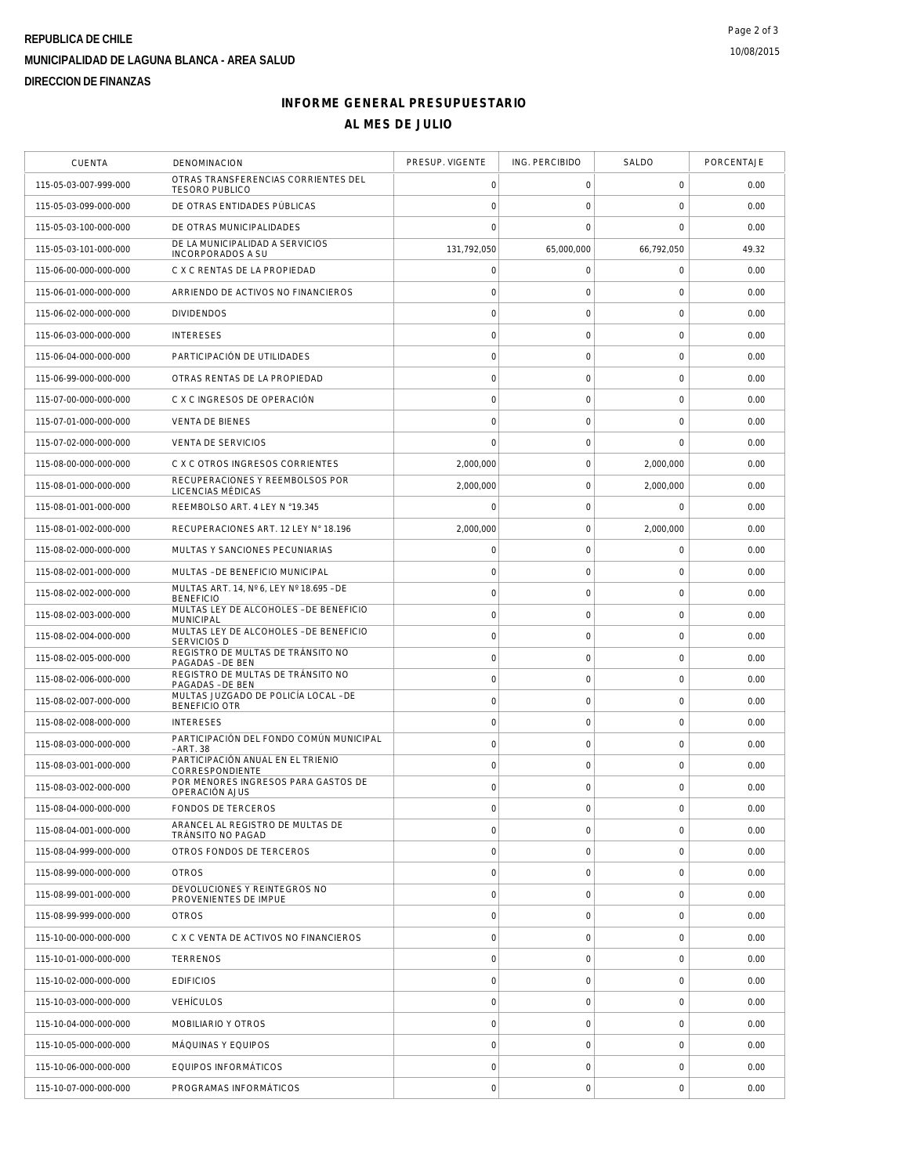# **REPUBLICA DE CHILE MUNICIPALIDAD DE LAGUNA BLANCA - AREA SALUD DIRECCION DE FINANZAS**

### **INFORME GENERAL PRESUPUESTARIO AL MES DE JULIO**

| <b>CUENTA</b>         | DENOMINACION                                                 | PRESUP. VIGENTE     | ING. PERCIBIDO      | SALDO               | PORCENTAJE |
|-----------------------|--------------------------------------------------------------|---------------------|---------------------|---------------------|------------|
| 115-05-03-007-999-000 | OTRAS TRANSFERENCIAS CORRIENTES DEL<br><b>TESORO PUBLICO</b> | 0                   | 0                   | $\mathbf 0$         | 0.00       |
| 115-05-03-099-000-000 | DE OTRAS ENTIDADES PÚBLICAS                                  | $\mathbf 0$         | $\mathsf{O}\xspace$ | $\mathbf 0$         | 0.00       |
| 115-05-03-100-000-000 | DE OTRAS MUNICIPALIDADES                                     | $\mathbf 0$         | 0                   | 0                   | 0.00       |
| 115-05-03-101-000-000 | DE LA MUNICIPALIDAD A SERVICIOS<br><b>INCORPORADOS A SU</b>  | 131,792,050         | 65,000,000          | 66,792,050          | 49.32      |
| 115-06-00-000-000-000 | C X C RENTAS DE LA PROPIEDAD                                 | $\mathbf 0$         | $\mathsf{O}\xspace$ | $\mathbf 0$         | 0.00       |
| 115-06-01-000-000-000 | ARRIENDO DE ACTIVOS NO FINANCIEROS                           | $\mathbf 0$         | $\mathsf{O}\xspace$ | $\mathbf 0$         | 0.00       |
| 115-06-02-000-000-000 | <b>DIVIDENDOS</b>                                            | $\circ$             | $\mathsf{O}\xspace$ | $\mathbf 0$         | 0.00       |
| 115-06-03-000-000-000 | <b>INTERESES</b>                                             | $\mathbf 0$         | $\mathsf{O}\xspace$ | $\mathbf 0$         | 0.00       |
| 115-06-04-000-000-000 | PARTICIPACIÓN DE UTILIDADES                                  | $\mathbf 0$         | $\mathsf{O}\xspace$ | $\mathsf{O}\xspace$ | 0.00       |
| 115-06-99-000-000-000 | OTRAS RENTAS DE LA PROPIEDAD                                 | $\mathbf 0$         | $\mathsf{O}\xspace$ | $\mathbf 0$         | 0.00       |
| 115-07-00-000-000-000 | C X C INGRESOS DE OPERACIÓN                                  | $\circ$             | $\mathsf{O}\xspace$ | $\mathbf 0$         | 0.00       |
| 115-07-01-000-000-000 | <b>VENTA DE BIENES</b>                                       | $\mathbf 0$         | $\mathsf{O}\xspace$ | $\mathbf 0$         | 0.00       |
| 115-07-02-000-000-000 | <b>VENTA DE SERVICIOS</b>                                    | $\mathbf 0$         | $\mathsf{O}\xspace$ | $\mathbf 0$         | 0.00       |
| 115-08-00-000-000-000 | C X C OTROS INGRESOS CORRIENTES                              | 2,000,000           | $\mathsf{O}\xspace$ | 2,000,000           | 0.00       |
| 115-08-01-000-000-000 | RECUPERACIONES Y REEMBOLSOS POR<br>LICENCIAS MÉDICAS         | 2.000.000           | 0                   | 2,000,000           | 0.00       |
| 115-08-01-001-000-000 | REEMBOLSO ART. 4 LEY N °19.345                               | 0                   | $\mathsf{O}\xspace$ | $\mathbf 0$         | 0.00       |
| 115-08-01-002-000-000 | RECUPERACIONES ART. 12 LEY N° 18.196                         | 2,000,000           | $\mathsf{O}\xspace$ | 2,000,000           | 0.00       |
| 115-08-02-000-000-000 | MULTAS Y SANCIONES PECUNIARIAS                               | $\mathbf 0$         | $\mathsf{O}\xspace$ | $\mathbf 0$         | 0.00       |
| 115-08-02-001-000-000 | MULTAS - DE BENEFICIO MUNICIPAL                              | $\mathbf 0$         | $\mathsf{O}\xspace$ | $\mathbf 0$         | 0.00       |
| 115-08-02-002-000-000 | MULTAS ART. 14, Nº 6, LEY Nº 18.695 - DE<br><b>BENEFICIO</b> | $\mathbf 0$         | $\mathsf{O}\xspace$ | $\mathbf 0$         | 0.00       |
| 115-08-02-003-000-000 | MULTAS LEY DE ALCOHOLES - DE BENEFICIO<br><b>MUNICIPAL</b>   | $\mathsf O$         | $\mathsf{O}\xspace$ | $\mathsf{O}\xspace$ | 0.00       |
| 115-08-02-004-000-000 | MULTAS LEY DE ALCOHOLES - DE BENEFICIO<br><b>SERVICIOS D</b> | $\circ$             | $\mathsf{O}\xspace$ | $\mathbf 0$         | 0.00       |
| 115-08-02-005-000-000 | REGISTRO DE MULTAS DE TRÁNSITO NO<br>PAGADAS - DE BEN        | $\circ$             | $\mathsf{O}\xspace$ | $\mathbf 0$         | 0.00       |
| 115-08-02-006-000-000 | REGISTRO DE MULTAS DE TRÁNSITO NO<br>PAGADAS - DE BEN        | $\mathbf 0$         | $\mathsf{O}\xspace$ | $\mathbf 0$         | 0.00       |
| 115-08-02-007-000-000 | MULTAS JUZGADO DE POLICÍA LOCAL - DE<br><b>BENEFICIO OTR</b> | $\mathsf{O}\xspace$ | $\mathsf{O}\xspace$ | $\mathbf 0$         | 0.00       |
| 115-08-02-008-000-000 | <b>INTERESES</b>                                             | $\mathbf 0$         | $\mathsf{O}\xspace$ | $\mathbf 0$         | 0.00       |
| 115-08-03-000-000-000 | PARTICIPACIÓN DEL FONDO COMÚN MUNICIPAL<br>- ART. 38         | $\mathbf 0$         | 0                   | 0                   | 0.00       |
| 115-08-03-001-000-000 | PARTICIPACIÓN ANUAL EN EL TRIENIO<br>CORRESPONDIENTE         | $\mathsf{O}\xspace$ | $\mathsf{O}\xspace$ | $\mathbf 0$         | 0.00       |
| 115-08-03-002-000-000 | POR MENORES INGRESOS PARA GASTOS DE<br>OPERACIÓN AJUS        | $\mathbf 0$         | $\mathsf{O}\xspace$ | $\mathbf 0$         | 0.00       |
| 115-08-04-000-000-000 | <b>FONDOS DE TERCEROS</b>                                    | $\mathbf 0$         | $\mathbf 0$         | $\mathbf 0$         | 0.00       |
| 115-08-04-001-000-000 | ARANCEL AL REGISTRO DE MULTAS DE<br>TRÁNSITO NO PAGAD        | $\mathbf 0$         | $\mathsf{O}\xspace$ | $\mathbf 0$         | 0.00       |
| 115-08-04-999-000-000 | OTROS FONDOS DE TERCEROS                                     | $\mathbf 0$         | $\mathsf{O}\xspace$ | $\mathbf 0$         | 0.00       |
| 115-08-99-000-000-000 | <b>OTROS</b>                                                 | $\mathbf 0$         | $\mathsf{O}\xspace$ | $\mathbf 0$         | 0.00       |
| 115-08-99-001-000-000 | DEVOLUCIONES Y REINTEGROS NO<br>PROVENIENTES DE IMPUE        | $\circ$             | $\mathsf{O}\xspace$ | $\mathbf 0$         | 0.00       |
| 115-08-99-999-000-000 | <b>OTROS</b>                                                 | $\mathsf{O}\xspace$ | $\mathsf{O}\xspace$ | $\mathbf 0$         | 0.00       |
| 115-10-00-000-000-000 | C X C VENTA DE ACTIVOS NO FINANCIEROS                        | $\circ$             | $\mathbf 0$         | $\mathbf 0$         | 0.00       |
| 115-10-01-000-000-000 | TERRENOS                                                     | $\mathsf{O}\xspace$ | $\mathsf{O}\xspace$ | $\mathbf 0$         | 0.00       |
| 115-10-02-000-000-000 | <b>EDIFICIOS</b>                                             | $\circ$             | $\mathsf{O}\xspace$ | $\mathbf 0$         | 0.00       |
| 115-10-03-000-000-000 | <b>VEHÍCULOS</b>                                             | $\mathbf 0$         | 0                   | $\mathbf 0$         | 0.00       |
| 115-10-04-000-000-000 | MOBILIARIO Y OTROS                                           | $\mathsf{O}\xspace$ | $\mathsf{O}\xspace$ | $\mathbf 0$         | 0.00       |
| 115-10-05-000-000-000 | MÁQUINAS Y EQUIPOS                                           | $\mathbf 0$         | $\mathsf{O}\xspace$ | $\mathbf 0$         | 0.00       |
| 115-10-06-000-000-000 | EQUIPOS INFORMÁTICOS                                         | $\mathsf{O}\xspace$ | $\mathsf{O}\xspace$ | $\mathbf 0$         | 0.00       |
| 115-10-07-000-000-000 | PROGRAMAS INFORMÁTICOS                                       | $\circ$             | $\mathsf{O}\xspace$ | $\mathbf 0$         | 0.00       |